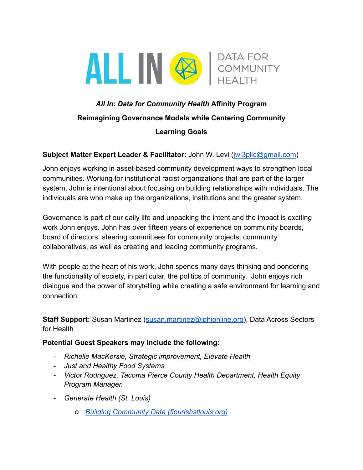

# *All In: Data for Community Health* **Affinity Program Reimagining Governance Models while Centering Community Learning Goals**

#### **Subject Matter Expert Leader & Facilitator:** John W. Levi [\(jwl3pllc@gmail.com\)](mailto:jwl3pllc@gmail.com)

John enjoys working in asset-based community development ways to strengthen local communities. Working for institutional racist organizations that are part of the larger system, John is intentional about focusing on building relationships with individuals. The individuals are who make up the organizations, institutions and the greater system.

Governance is part of our daily life and unpacking the intent and the impact is exciting work John enjoys. John has over fifteen years of experience on community boards, board of directors, steering committees for community projects, community collaboratives, as well as creating and leading community programs.

With people at the heart of his work, John spends many days thinking and pondering the functionality of society, in particular, the politics of community. John enjoys rich dialogue and the power of storytelling while creating a safe environment for learning and connection.

**Staff Support:** Susan Martinez ([susan.martinez@iphionline.org\)](mailto:susan.martinez@iphionline.org), Data Across Sectors for Health

#### **Potential Guest Speakers may include the following:**

- *- Richelle MacKersie, Strategic improvement, Elevate Health*
- *- Just and Healthy Food Systems*
- *- Victor Rodriguez, Tacoma Pierce County Health Department, Health Equity Program Manager.*
- *- Generate Health (St. Louis)*
	- *o [Building Community Data \(flourishstlouis.org\)](https://www.flourishstlouis.org/wp-content/uploads/Building-Community-Data.pdf)*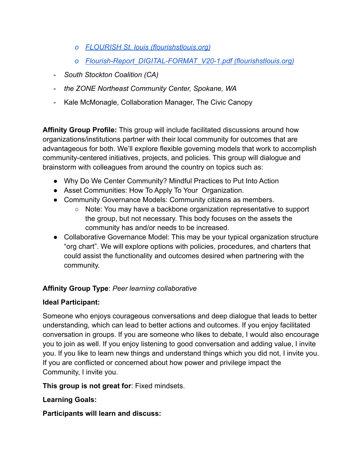- *o [FLOURISH St. louis \(flourishstlouis.org\)](https://www.flourishstlouis.org/wp-content/uploads/Storytelling-for-Systems-Change.pdf)*
- *o [Flourish-Report\\_DIGITAL-FORMAT\\_V20-1.pdf \(flourishstlouis.org\)](https://www.flourishstlouis.org/wp-content/uploads/Flourish-Report_DIGITAL-FORMAT_V20-1.pdf)*
- *- South Stockton Coalition (CA)*
- *- the ZONE Northeast Community Center, Spokane, WA*
- *-* Kale McMonagle, Collaboration Manager, The Civic Canopy

**Affinity Group Profile:** This group will include facilitated discussions around how organizations/institutions partner with their local community for outcomes that are advantageous for both. We'll explore flexible governing models that work to accomplish community-centered initiatives, projects, and policies. This group will dialogue and brainstorm with colleagues from around the country on topics such as:

- Why Do We Center Community? Mindful Practices to Put Into Action
- Asset Communities: How To Apply To Your Organization.
- Community Governance Models: Community citizens as members.
	- Note: You may have a backbone organization representative to support the group, but not necessary. This body focuses on the assets the community has and/or needs to be increased.
- Collaborative Governance Model: This may be your typical organization structure "org chart". We will explore options with policies, procedures, and charters that could assist the functionality and outcomes desired when partnering with the community.

## **Affinity Group Type**: *Peer learning collaborative*

### **Ideal Participant:**

Someone who enjoys courageous conversations and deep dialogue that leads to better understanding, which can lead to better actions and outcomes. If you enjoy facilitated conversation in groups. If you are someone who likes to debate, I would also encourage you to join as well. If you enjoy listening to good conversation and adding value, I invite you. If you like to learn new things and understand things which you did not, I invite you. If you are conflicted or concerned about how power and privilege impact the Community, I invite you.

**This group is not great for**: Fixed mindsets.

### **Learning Goals:**

**Participants will learn and discuss:**